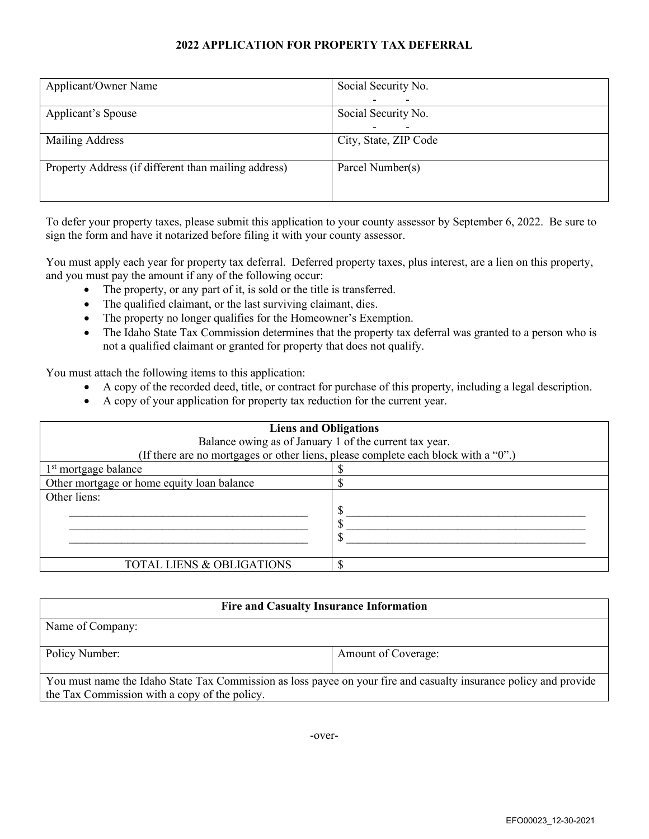## **2022 APPLICATION FOR PROPERTY TAX DEFERRAL**

| Applicant/Owner Name                                 | Social Security No.      |
|------------------------------------------------------|--------------------------|
|                                                      | $\overline{\phantom{0}}$ |
| Applicant's Spouse                                   | Social Security No.      |
|                                                      | $\overline{\phantom{0}}$ |
| Mailing Address                                      | City, State, ZIP Code    |
|                                                      |                          |
| Property Address (if different than mailing address) | Parcel Number(s)         |
|                                                      |                          |
|                                                      |                          |

To defer your property taxes, please submit this application to your county assessor by September 6, 2022. Be sure to sign the form and have it notarized before filing it with your county assessor.

You must apply each year for property tax deferral. Deferred property taxes, plus interest, are a lien on this property, and you must pay the amount if any of the following occur:

- The property, or any part of it, is sold or the title is transferred.
- The qualified claimant, or the last surviving claimant, dies.
- The property no longer qualifies for the Homeowner's Exemption.
- The Idaho State Tax Commission determines that the property tax deferral was granted to a person who is not a qualified claimant or granted for property that does not qualify.

You must attach the following items to this application:

- A copy of the recorded deed, title, or contract for purchase of this property, including a legal description.
- A copy of your application for property tax reduction for the current year.

| <b>Liens and Obligations</b>                                                       |  |  |  |  |
|------------------------------------------------------------------------------------|--|--|--|--|
| Balance owing as of January 1 of the current tax year.                             |  |  |  |  |
| (If there are no mortgages or other liens, please complete each block with a "0".) |  |  |  |  |
| $1st$ mortgage balance                                                             |  |  |  |  |
| Other mortgage or home equity loan balance                                         |  |  |  |  |
| Other liens:                                                                       |  |  |  |  |
|                                                                                    |  |  |  |  |
|                                                                                    |  |  |  |  |
|                                                                                    |  |  |  |  |
|                                                                                    |  |  |  |  |
| <b>TOTAL LIENS &amp; OBLIGATIONS</b>                                               |  |  |  |  |

| <b>Fire and Casualty Insurance Information</b>                                                                                                                     |                     |  |  |  |
|--------------------------------------------------------------------------------------------------------------------------------------------------------------------|---------------------|--|--|--|
| Name of Company:                                                                                                                                                   |                     |  |  |  |
| Policy Number:                                                                                                                                                     | Amount of Coverage: |  |  |  |
| You must name the Idaho State Tax Commission as loss payee on your fire and casualty insurance policy and provide<br>the Tax Commission with a copy of the policy. |                     |  |  |  |

-over-